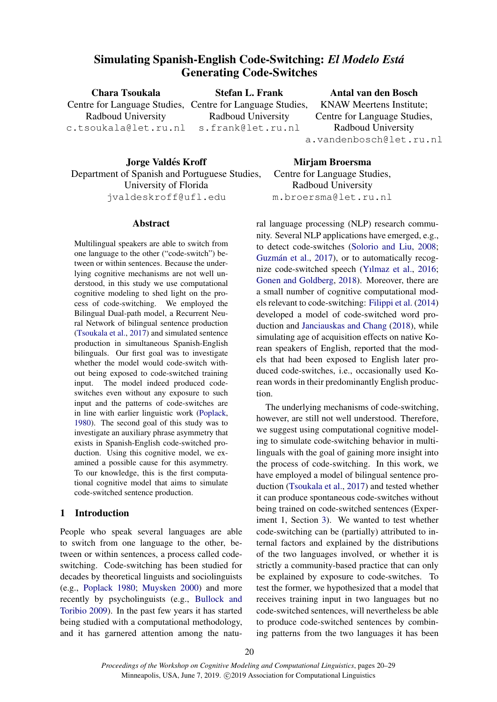# Simulating Spanish-English Code-Switching: *El Modelo Esta´* Generating Code-Switches

Chara Tsoukala Centre for Language Studies, Centre for Language Studies, Radboud University c.tsoukala@let.ru.nl Stefan L. Frank Radboud University s.frank@let.ru.nl Antal van den Bosch KNAW Meertens Institute; Centre for Language Studies, Radboud University a.vandenbosch@let.ru.nl

Jorge Valdés Kroff Department of Spanish and Portuguese Studies, University of Florida jvaldeskroff@ufl.edu

### Abstract

Multilingual speakers are able to switch from one language to the other ("code-switch") between or within sentences. Because the underlying cognitive mechanisms are not well understood, in this study we use computational cognitive modeling to shed light on the process of code-switching. We employed the Bilingual Dual-path model, a Recurrent Neural Network of bilingual sentence production [\(Tsoukala et al.,](#page-9-0) [2017\)](#page-9-0) and simulated sentence production in simultaneous Spanish-English bilinguals. Our first goal was to investigate whether the model would code-switch without being exposed to code-switched training input. The model indeed produced codeswitches even without any exposure to such input and the patterns of code-switches are in line with earlier linguistic work [\(Poplack,](#page-9-1) [1980\)](#page-9-1). The second goal of this study was to investigate an auxiliary phrase asymmetry that exists in Spanish-English code-switched production. Using this cognitive model, we examined a possible cause for this asymmetry. To our knowledge, this is the first computational cognitive model that aims to simulate code-switched sentence production.

## 1 Introduction

People who speak several languages are able to switch from one language to the other, between or within sentences, a process called codeswitching. Code-switching has been studied for decades by theoretical linguists and sociolinguists (e.g., [Poplack](#page-9-1) [1980;](#page-9-1) [Muysken](#page-9-2) [2000\)](#page-9-2) and more recently by psycholinguists (e.g., [Bullock and](#page-8-0) [Toribio](#page-8-0) [2009\)](#page-8-0). In the past few years it has started being studied with a computational methodology, and it has garnered attention among the natu-

Mirjam Broersma Centre for Language Studies, Radboud University m.broersma@let.ru.nl

ral language processing (NLP) research community. Several NLP applications have emerged, e.g., to detect code-switches [\(Solorio and Liu,](#page-9-3) [2008;](#page-9-3) Guzmán et al., [2017\)](#page-9-4), or to automatically recognize code-switched speech [\(Yılmaz et al.,](#page-9-5) [2016;](#page-9-5) [Gonen and Goldberg,](#page-9-6) [2018\)](#page-9-6). Moreover, there are a small number of cognitive computational models relevant to code-switching: [Filippi et al.](#page-8-1) [\(2014\)](#page-8-1) developed a model of code-switched word production and [Janciauskas and Chang](#page-9-7) [\(2018\)](#page-9-7), while simulating age of acquisition effects on native Korean speakers of English, reported that the models that had been exposed to English later produced code-switches, i.e., occasionally used Korean words in their predominantly English production.

The underlying mechanisms of code-switching, however, are still not well understood. Therefore, we suggest using computational cognitive modeling to simulate code-switching behavior in multilinguals with the goal of gaining more insight into the process of code-switching. In this work, we have employed a model of bilingual sentence production [\(Tsoukala et al.,](#page-9-0) [2017\)](#page-9-0) and tested whether it can produce spontaneous code-switches without being trained on code-switched sentences (Experiment 1, Section [3\)](#page-4-0). We wanted to test whether code-switching can be (partially) attributed to internal factors and explained by the distributions of the two languages involved, or whether it is strictly a community-based practice that can only be explained by exposure to code-switches. To test the former, we hypothesized that a model that receives training input in two languages but no code-switched sentences, will nevertheless be able to produce code-switched sentences by combining patterns from the two languages it has been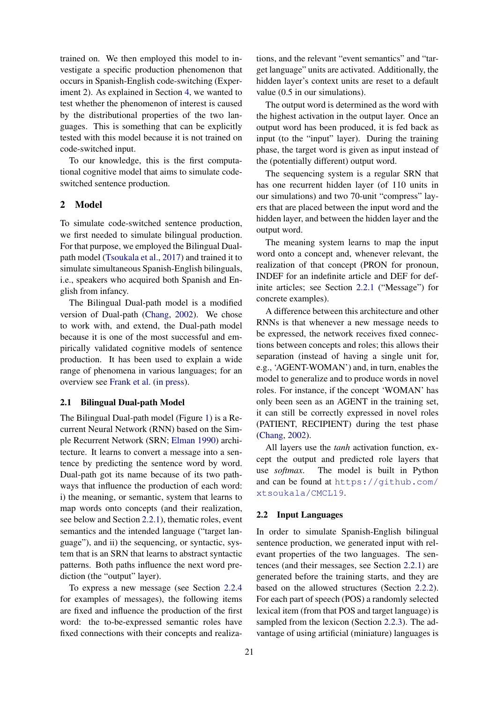trained on. We then employed this model to investigate a specific production phenomenon that occurs in Spanish-English code-switching (Experiment 2). As explained in Section [4,](#page-6-0) we wanted to test whether the phenomenon of interest is caused by the distributional properties of the two languages. This is something that can be explicitly tested with this model because it is not trained on code-switched input.

To our knowledge, this is the first computational cognitive model that aims to simulate codeswitched sentence production.

## 2 Model

To simulate code-switched sentence production, we first needed to simulate bilingual production. For that purpose, we employed the Bilingual Dualpath model [\(Tsoukala et al.,](#page-9-0) [2017\)](#page-9-0) and trained it to simulate simultaneous Spanish-English bilinguals, i.e., speakers who acquired both Spanish and English from infancy.

The Bilingual Dual-path model is a modified version of Dual-path [\(Chang,](#page-8-2) [2002\)](#page-8-2). We chose to work with, and extend, the Dual-path model because it is one of the most successful and empirically validated cognitive models of sentence production. It has been used to explain a wide range of phenomena in various languages; for an overview see [Frank et al.](#page-9-8) [\(in press\)](#page-9-8).

#### 2.1 Bilingual Dual-path Model

The Bilingual Dual-path model (Figure [1\)](#page-2-0) is a Recurrent Neural Network (RNN) based on the Simple Recurrent Network (SRN; [Elman](#page-8-3) [1990\)](#page-8-3) architecture. It learns to convert a message into a sentence by predicting the sentence word by word. Dual-path got its name because of its two pathways that influence the production of each word: i) the meaning, or semantic, system that learns to map words onto concepts (and their realization, see below and Section [2.2.1\)](#page-2-1), thematic roles, event semantics and the intended language ("target language"), and ii) the sequencing, or syntactic, system that is an SRN that learns to abstract syntactic patterns. Both paths influence the next word prediction (the "output" layer).

To express a new message (see Section [2.2.4](#page-3-0) for examples of messages), the following items are fixed and influence the production of the first word: the to-be-expressed semantic roles have fixed connections with their concepts and realizations, and the relevant "event semantics" and "target language" units are activated. Additionally, the hidden layer's context units are reset to a default value (0.5 in our simulations).

The output word is determined as the word with the highest activation in the output layer. Once an output word has been produced, it is fed back as input (to the "input" layer). During the training phase, the target word is given as input instead of the (potentially different) output word.

The sequencing system is a regular SRN that has one recurrent hidden layer (of 110 units in our simulations) and two 70-unit "compress" layers that are placed between the input word and the hidden layer, and between the hidden layer and the output word.

The meaning system learns to map the input word onto a concept and, whenever relevant, the realization of that concept (PRON for pronoun, INDEF for an indefinite article and DEF for definite articles; see Section [2.2.1](#page-2-1) ("Message") for concrete examples).

A difference between this architecture and other RNNs is that whenever a new message needs to be expressed, the network receives fixed connections between concepts and roles; this allows their separation (instead of having a single unit for, e.g., 'AGENT-WOMAN') and, in turn, enables the model to generalize and to produce words in novel roles. For instance, if the concept 'WOMAN' has only been seen as an AGENT in the training set, it can still be correctly expressed in novel roles (PATIENT, RECIPIENT) during the test phase [\(Chang,](#page-8-2) [2002\)](#page-8-2).

All layers use the *tanh* activation function, except the output and predicted role layers that use *softmax*. The model is built in Python and can be found at [https://github.com/](https://github.com/xtsoukala/CMCL19) [xtsoukala/CMCL19](https://github.com/xtsoukala/CMCL19).

## 2.2 Input Languages

In order to simulate Spanish-English bilingual sentence production, we generated input with relevant properties of the two languages. The sentences (and their messages, see Section [2.2.1\)](#page-2-1) are generated before the training starts, and they are based on the allowed structures (Section [2.2.2\)](#page-2-2). For each part of speech (POS) a randomly selected lexical item (from that POS and target language) is sampled from the lexicon (Section [2.2.3\)](#page-3-1). The advantage of using artificial (miniature) languages is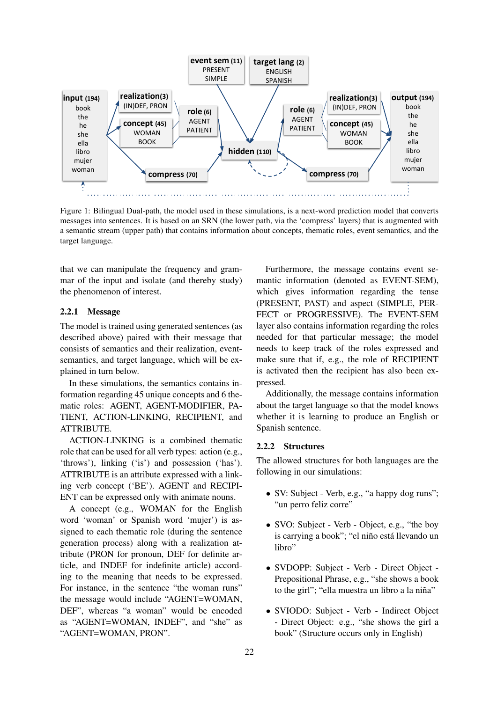<span id="page-2-0"></span>

Figure 1: Bilingual Dual-path, the model used in these simulations, is a next-word prediction model that converts messages into sentences. It is based on an SRN (the lower path, via the 'compress' layers) that is augmented with a semantic stream (upper path) that contains information about concepts, thematic roles, event semantics, and the target language.

that we can manipulate the frequency and grammar of the input and isolate (and thereby study) the phenomenon of interest.

## <span id="page-2-1"></span>2.2.1 Message

The model is trained using generated sentences (as described above) paired with their message that consists of semantics and their realization, eventsemantics, and target language, which will be explained in turn below.

In these simulations, the semantics contains information regarding 45 unique concepts and 6 thematic roles: AGENT, AGENT-MODIFIER, PA-TIENT, ACTION-LINKING, RECIPIENT, and ATTRIBUTE.

ACTION-LINKING is a combined thematic role that can be used for all verb types: action (e.g., 'throws'), linking ('is') and possession ('has'). ATTRIBUTE is an attribute expressed with a linking verb concept ('BE'). AGENT and RECIPI-ENT can be expressed only with animate nouns.

A concept (e.g., WOMAN for the English word 'woman' or Spanish word 'mujer') is assigned to each thematic role (during the sentence generation process) along with a realization attribute (PRON for pronoun, DEF for definite article, and INDEF for indefinite article) according to the meaning that needs to be expressed. For instance, in the sentence "the woman runs" the message would include "AGENT=WOMAN, DEF", whereas "a woman" would be encoded as "AGENT=WOMAN, INDEF", and "she" as "AGENT=WOMAN, PRON".

Furthermore, the message contains event semantic information (denoted as EVENT-SEM), which gives information regarding the tense (PRESENT, PAST) and aspect (SIMPLE, PER-FECT or PROGRESSIVE). The EVENT-SEM layer also contains information regarding the roles needed for that particular message; the model needs to keep track of the roles expressed and make sure that if, e.g., the role of RECIPIENT is activated then the recipient has also been expressed.

Additionally, the message contains information about the target language so that the model knows whether it is learning to produce an English or Spanish sentence.

#### <span id="page-2-2"></span>2.2.2 Structures

The allowed structures for both languages are the following in our simulations:

- SV: Subject Verb, e.g., "a happy dog runs"; "un perro feliz corre"
- SVO: Subject Verb Object, e.g., "the boy" is carrying a book"; "el niño está llevando un libro"
- SVDOPP: Subject Verb Direct Object Prepositional Phrase, e.g., "she shows a book to the girl"; "ella muestra un libro a la niña"
- SVIODO: Subject Verb Indirect Object - Direct Object: e.g., "she shows the girl a book" (Structure occurs only in English)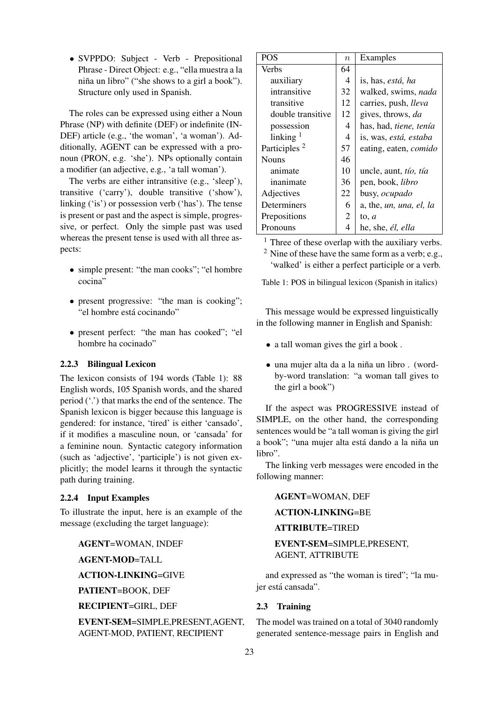• SVPPDO: Subject - Verb - Prepositional Phrase - Direct Object: e.g., "ella muestra a la niña un libro" ("she shows to a girl a book"). Structure only used in Spanish.

The roles can be expressed using either a Noun Phrase (NP) with definite (DEF) or indefinite (IN-DEF) article (e.g., 'the woman', 'a woman'). Additionally, AGENT can be expressed with a pronoun (PRON, e.g. 'she'). NPs optionally contain a modifier (an adjective, e.g., 'a tall woman').

The verbs are either intransitive (e.g., 'sleep'), transitive ('carry'), double transitive ('show'), linking ('is') or possession verb ('has'). The tense is present or past and the aspect is simple, progressive, or perfect. Only the simple past was used whereas the present tense is used with all three aspects:

- simple present: "the man cooks": "el hombre cocina"
- present progressive: "the man is cooking"; "el hombre está cocinando"
- present perfect: "the man has cooked"; "el hombre ha cocinado"

## <span id="page-3-1"></span>2.2.3 Bilingual Lexicon

The lexicon consists of 194 words (Table [1\)](#page-3-2): 88 English words, 105 Spanish words, and the shared period ('.') that marks the end of the sentence. The Spanish lexicon is bigger because this language is gendered: for instance, 'tired' is either 'cansado', if it modifies a masculine noun, or 'cansada' for a feminine noun. Syntactic category information (such as 'adjective', 'participle') is not given explicitly; the model learns it through the syntactic path during training.

## <span id="page-3-0"></span>2.2.4 Input Examples

To illustrate the input, here is an example of the message (excluding the target language):

AGENT=WOMAN, INDEF

AGENT-MOD=TALL

ACTION-LINKING=GIVE

PATIENT=BOOK, DEF

RECIPIENT=GIRL, DEF

EVENT-SEM=SIMPLE,PRESENT,AGENT, AGENT-MOD, PATIENT, RECIPIENT

<span id="page-3-2"></span>

| <b>POS</b>               | $\boldsymbol{n}$ | Examples                     |
|--------------------------|------------------|------------------------------|
| Verbs                    | 64               |                              |
| auxiliary                | 4                | is, has, <i>está</i> , ha    |
| intransitive             | 32               | walked, swims, nada          |
| transitive               | 12               | carries, push, lleva         |
| double transitive        | 12               | gives, throws, da            |
| possession               | 4                | has, had, tiene, tenía       |
| $linking$ <sup>1</sup>   | 4                | is, was, está, estaba        |
| Participles <sup>2</sup> | 57               | eating, eaten, <i>comido</i> |
| <b>Nouns</b>             | 46               |                              |
| animate                  | 10               | uncle, aunt, tío, tía        |
| inanimate                | 36               | pen, book, <i>libro</i>      |
| Adjectives               | 22               | busy, ocupado                |
| Determiners              | 6                | a, the, un, una, el, la      |
| Prepositions             | 2                | to, $a$                      |
| Pronouns                 | 4                | he, she, él, ella            |

 $<sup>1</sup>$  Three of these overlap with the auxiliary verbs.</sup>

 $2$  Nine of these have the same form as a verb; e.g., 'walked' is either a perfect participle or a verb.

Table 1: POS in bilingual lexicon (Spanish in italics)

This message would be expressed linguistically in the following manner in English and Spanish:

- a tall woman gives the girl a book .
- una mujer alta da a la niña un libro . (wordby-word translation: "a woman tall gives to the girl a book")

If the aspect was PROGRESSIVE instead of SIMPLE, on the other hand, the corresponding sentences would be "a tall woman is giving the girl a book"; "una mujer alta está dando a la niña un libro".

The linking verb messages were encoded in the following manner:

## AGENT=WOMAN, DEF

## ACTION-LINKING=BE

## ATTRIBUTE=TIRED

## EVENT-SEM=SIMPLE,PRESENT, AGENT, ATTRIBUTE

and expressed as "the woman is tired"; "la mujer está cansada".

## <span id="page-3-3"></span>2.3 Training

The model was trained on a total of 3040 randomly generated sentence-message pairs in English and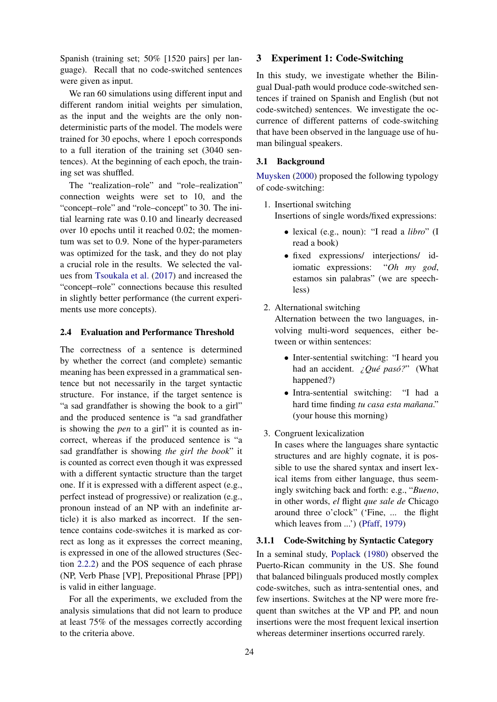Spanish (training set; 50% [1520 pairs] per language). Recall that no code-switched sentences were given as input.

We ran 60 simulations using different input and different random initial weights per simulation, as the input and the weights are the only nondeterministic parts of the model. The models were trained for 30 epochs, where 1 epoch corresponds to a full iteration of the training set (3040 sentences). At the beginning of each epoch, the training set was shuffled.

The "realization–role" and "role–realization" connection weights were set to 10, and the "concept–role" and "role–concept" to 30. The initial learning rate was 0.10 and linearly decreased over 10 epochs until it reached 0.02; the momentum was set to 0.9. None of the hyper-parameters was optimized for the task, and they do not play a crucial role in the results. We selected the values from [Tsoukala et al.](#page-9-0) [\(2017\)](#page-9-0) and increased the "concept–role" connections because this resulted in slightly better performance (the current experiments use more concepts).

## <span id="page-4-1"></span>2.4 Evaluation and Performance Threshold

The correctness of a sentence is determined by whether the correct (and complete) semantic meaning has been expressed in a grammatical sentence but not necessarily in the target syntactic structure. For instance, if the target sentence is "a sad grandfather is showing the book to a girl" and the produced sentence is "a sad grandfather is showing the *pen* to a girl" it is counted as incorrect, whereas if the produced sentence is "a sad grandfather is showing *the girl the book*" it is counted as correct even though it was expressed with a different syntactic structure than the target one. If it is expressed with a different aspect (e.g., perfect instead of progressive) or realization (e.g., pronoun instead of an NP with an indefinite article) it is also marked as incorrect. If the sentence contains code-switches it is marked as correct as long as it expresses the correct meaning, is expressed in one of the allowed structures (Section [2.2.2\)](#page-2-2) and the POS sequence of each phrase (NP, Verb Phase [VP], Prepositional Phrase [PP]) is valid in either language.

For all the experiments, we excluded from the analysis simulations that did not learn to produce at least 75% of the messages correctly according to the criteria above.

## <span id="page-4-0"></span>3 Experiment 1: Code-Switching

In this study, we investigate whether the Bilingual Dual-path would produce code-switched sentences if trained on Spanish and English (but not code-switched) sentences. We investigate the occurrence of different patterns of code-switching that have been observed in the language use of human bilingual speakers.

#### 3.1 Background

[Muysken](#page-9-2) [\(2000\)](#page-9-2) proposed the following typology of code-switching:

- 1. Insertional switching Insertions of single words/fixed expressions:
	- lexical (e.g., noun): "I read a *libro*" (I read a book)
	- fixed expressions/ interjections/ idiomatic expressions: "*Oh my god*, estamos sin palabras" (we are speechless)

## 2. Alternational switching

Alternation between the two languages, involving multi-word sequences, either between or within sentences:

- Inter-sentential switching: "I heard you had an accident. *¿Qué pasó?*" (What happened?)
- Intra-sentential switching: "I had a hard time finding tu casa esta mañana." (your house this morning)
- 3. Congruent lexicalization

In cases where the languages share syntactic structures and are highly cognate, it is possible to use the shared syntax and insert lexical items from either language, thus seemingly switching back and forth: e.g., "*Bueno*, in other words, *el* flight *que sale de* Chicago around three o'clock" ('Fine, ... the flight which leaves from ...') [\(Pfaff,](#page-9-9) [1979\)](#page-9-9)

## 3.1.1 Code-Switching by Syntactic Category

In a seminal study, [Poplack](#page-9-1) [\(1980\)](#page-9-1) observed the Puerto-Rican community in the US. She found that balanced bilinguals produced mostly complex code-switches, such as intra-sentential ones, and few insertions. Switches at the NP were more frequent than switches at the VP and PP, and noun insertions were the most frequent lexical insertion whereas determiner insertions occurred rarely.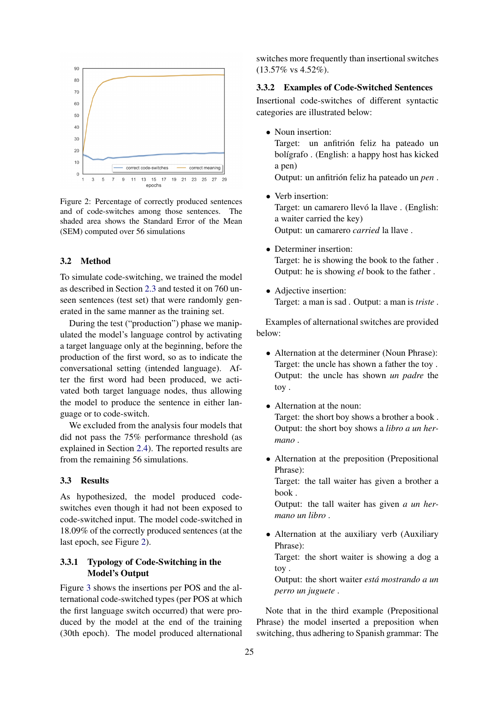<span id="page-5-0"></span>

Figure 2: Percentage of correctly produced sentences and of code-switches among those sentences. The shaded area shows the Standard Error of the Mean (SEM) computed over 56 simulations

#### 3.2 Method

To simulate code-switching, we trained the model as described in Section [2.3](#page-3-3) and tested it on 760 unseen sentences (test set) that were randomly generated in the same manner as the training set.

During the test ("production") phase we manipulated the model's language control by activating a target language only at the beginning, before the production of the first word, so as to indicate the conversational setting (intended language). After the first word had been produced, we activated both target language nodes, thus allowing the model to produce the sentence in either language or to code-switch.

We excluded from the analysis four models that did not pass the 75% performance threshold (as explained in Section [2.4\)](#page-4-1). The reported results are from the remaining 56 simulations.

## 3.3 Results

As hypothesized, the model produced codeswitches even though it had not been exposed to code-switched input. The model code-switched in 18.09% of the correctly produced sentences (at the last epoch, see Figure [2\)](#page-5-0).

## 3.3.1 Typology of Code-Switching in the Model's Output

Figure [3](#page-6-1) shows the insertions per POS and the alternational code-switched types (per POS at which the first language switch occurred) that were produced by the model at the end of the training (30th epoch). The model produced alternational switches more frequently than insertional switches  $(13.57\% \text{ vs } 4.52\%).$ 

## 3.3.2 Examples of Code-Switched Sentences

Insertional code-switches of different syntactic categories are illustrated below:

- Noun insertion: Target: un anfitrión feliz ha pateado un bolígrafo . (English: a happy host has kicked a pen) Output: un anfitrión feliz ha pateado un *pen*.
- Verb insertion: Target: un camarero llevó la llave . (English: a waiter carried the key) Output: un camarero *carried* la llave .
- Determiner insertion: Target: he is showing the book to the father . Output: he is showing *el* book to the father .
- Adjective insertion: Target: a man is sad . Output: a man is *triste* .

Examples of alternational switches are provided below:

- Alternation at the determiner (Noun Phrase): Target: the uncle has shown a father the toy . Output: the uncle has shown *un padre* the toy .
- Alternation at the noun: Target: the short boy shows a brother a book . Output: the short boy shows a *libro a un hermano* .
- Alternation at the preposition (Prepositional Phrase):

Target: the tall waiter has given a brother a book .

Output: the tall waiter has given *a un hermano un libro* .

• Alternation at the auxiliary verb (Auxiliary Phrase):

Target: the short waiter is showing a dog a toy .

Output: the short waiter *esta mostrando a un ´ perro un juguete* .

Note that in the third example (Prepositional Phrase) the model inserted a preposition when switching, thus adhering to Spanish grammar: The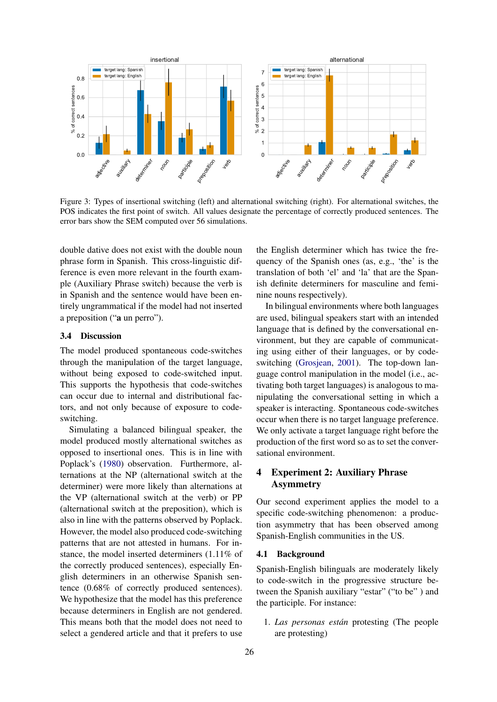<span id="page-6-1"></span>

Figure 3: Types of insertional switching (left) and alternational switching (right). For alternational switches, the POS indicates the first point of switch. All values designate the percentage of correctly produced sentences. The error bars show the SEM computed over 56 simulations.

double dative does not exist with the double noun phrase form in Spanish. This cross-linguistic difference is even more relevant in the fourth example (Auxiliary Phrase switch) because the verb is in Spanish and the sentence would have been entirely ungrammatical if the model had not inserted a preposition ("a un perro").

## 3.4 Discussion

The model produced spontaneous code-switches through the manipulation of the target language, without being exposed to code-switched input. This supports the hypothesis that code-switches can occur due to internal and distributional factors, and not only because of exposure to codeswitching.

Experimentation of surface and the model in series and the model and the model of the model of the model of the model of the model of the model of the model of the model of the model of the model of the model in the model Simulating a balanced bilingual speaker, the model produced mostly alternational switches as opposed to insertional ones. This is in line with Poplack's [\(1980\)](#page-9-1) observation. Furthermore, alternations at the NP (alternational switch at the determiner) were more likely than alternations at the VP (alternational switch at the verb) or PP (alternational switch at the preposition), which is also in line with the patterns observed by Poplack. However, the model also produced code-switching patterns that are not attested in humans. For instance, the model inserted determiners (1.11% of the correctly produced sentences), especially English determiners in an otherwise Spanish sentence (0.68% of correctly produced sentences). We hypothesize that the model has this preference because determiners in English are not gendered. This means both that the model does not need to select a gendered article and that it prefers to use

the English determiner which has twice the frequency of the Spanish ones (as, e.g., 'the' is the translation of both 'el' and 'la' that are the Spanish definite determiners for masculine and feminine nouns respectively).

In bilingual environments where both languages are used, bilingual speakers start with an intended language that is defined by the conversational environment, but they are capable of communicating using either of their languages, or by codeswitching [\(Grosjean,](#page-9-10) [2001\)](#page-9-10). The top-down language control manipulation in the model (i.e., activating both target languages) is analogous to manipulating the conversational setting in which a speaker is interacting. Spontaneous code-switches occur when there is no target language preference. We only activate a target language right before the production of the first word so as to set the conversational environment.

## <span id="page-6-0"></span>4 Experiment 2: Auxiliary Phrase Asymmetry

Our second experiment applies the model to a specific code-switching phenomenon: a production asymmetry that has been observed among Spanish-English communities in the US.

## 4.1 Background

Spanish-English bilinguals are moderately likely to code-switch in the progressive structure between the Spanish auxiliary "estar" ("to be" ) and the participle. For instance:

1. *Las personas estan´* protesting (The people are protesting)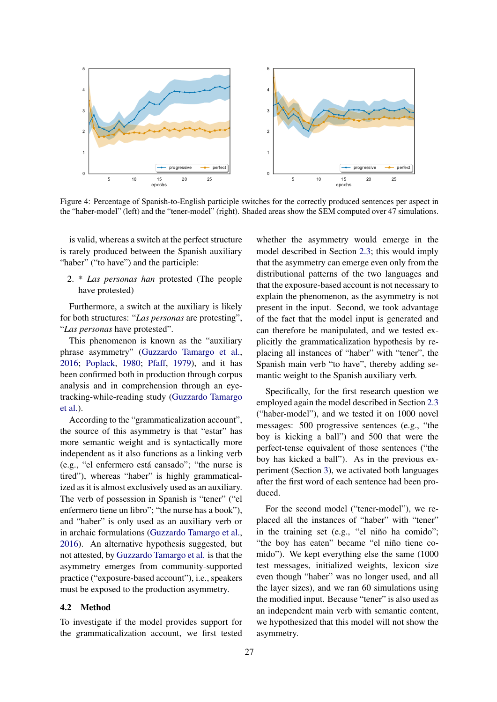<span id="page-7-0"></span>

Figure 4: Percentage of Spanish-to-English participle switches for the correctly produced sentences per aspect in the "haber-model" (left) and the "tener-model" (right). Shaded areas show the SEM computed over 47 simulations.

is valid, whereas a switch at the perfect structure is rarely produced between the Spanish auxiliary "haber" ("to have") and the participle:

2. \* *Las personas han* protested (The people have protested)

Furthermore, a switch at the auxiliary is likely for both structures: "*Las personas* are protesting", "*Las personas* have protested".

This phenomenon is known as the "auxiliary phrase asymmetry" [\(Guzzardo Tamargo et al.,](#page-9-11) [2016;](#page-9-11) [Poplack,](#page-9-1) [1980;](#page-9-1) [Pfaff,](#page-9-9) [1979\)](#page-9-9), and it has been confirmed both in production through corpus analysis and in comprehension through an eyetracking-while-reading study [\(Guzzardo Tamargo](#page-9-11) [et al.\)](#page-9-11).

According to the "grammaticalization account", the source of this asymmetry is that "estar" has more semantic weight and is syntactically more independent as it also functions as a linking verb (e.g., "el enfermero esta cansado"; "the nurse is ´ tired"), whereas "haber" is highly grammaticalized as it is almost exclusively used as an auxiliary. The verb of possession in Spanish is "tener" ("el enfermero tiene un libro"; "the nurse has a book"), and "haber" is only used as an auxiliary verb or in archaic formulations [\(Guzzardo Tamargo et al.,](#page-9-11) [2016\)](#page-9-11). An alternative hypothesis suggested, but not attested, by [Guzzardo Tamargo et al.](#page-9-11) is that the asymmetry emerges from community-supported practice ("exposure-based account"), i.e., speakers must be exposed to the production asymmetry.

## 4.2 Method

To investigate if the model provides support for the grammaticalization account, we first tested

whether the asymmetry would emerge in the model described in Section [2.3;](#page-3-3) this would imply that the asymmetry can emerge even only from the distributional patterns of the two languages and that the exposure-based account is not necessary to explain the phenomenon, as the asymmetry is not present in the input. Second, we took advantage of the fact that the model input is generated and can therefore be manipulated, and we tested explicitly the grammaticalization hypothesis by replacing all instances of "haber" with "tener", the Spanish main verb "to have", thereby adding semantic weight to the Spanish auxiliary verb.

Specifically, for the first research question we employed again the model described in Section [2.3](#page-3-3) ("haber-model"), and we tested it on 1000 novel messages: 500 progressive sentences (e.g., "the boy is kicking a ball") and 500 that were the perfect-tense equivalent of those sentences ("the boy has kicked a ball"). As in the previous experiment (Section [3\)](#page-4-0), we activated both languages after the first word of each sentence had been produced.

For the second model ("tener-model"), we replaced all the instances of "haber" with "tener" in the training set (e.g., "el niño ha comido"; "the boy has eaten" became "el niño tiene comido"). We kept everything else the same (1000 test messages, initialized weights, lexicon size even though "haber" was no longer used, and all the layer sizes), and we ran 60 simulations using the modified input. Because "tener" is also used as an independent main verb with semantic content, we hypothesized that this model will not show the asymmetry.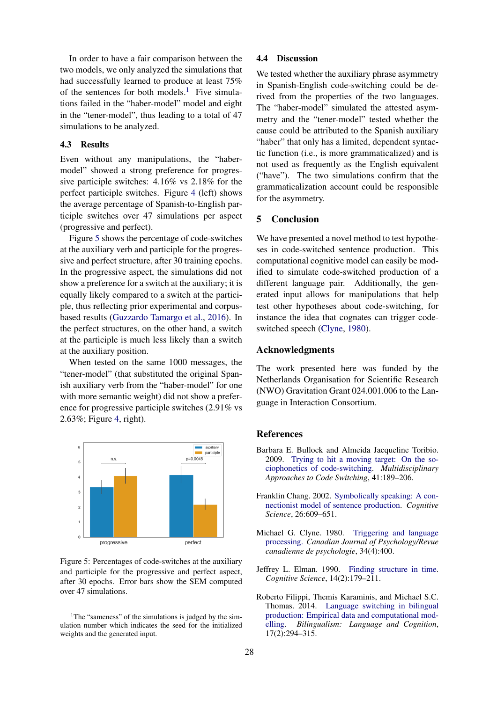In order to have a fair comparison between the two models, we only analyzed the simulations that had successfully learned to produce at least 75% of the sentences for both models.<sup>[1](#page-8-4)</sup> Five simulations failed in the "haber-model" model and eight in the "tener-model", thus leading to a total of 47 simulations to be analyzed.

#### 4.3 Results

Even without any manipulations, the "habermodel" showed a strong preference for progressive participle switches: 4.16% vs 2.18% for the perfect participle switches. Figure [4](#page-7-0) (left) shows the average percentage of Spanish-to-English participle switches over 47 simulations per aspect (progressive and perfect).

Figure [5](#page-8-5) shows the percentage of code-switches at the auxiliary verb and participle for the progressive and perfect structure, after 30 training epochs. In the progressive aspect, the simulations did not show a preference for a switch at the auxiliary; it is equally likely compared to a switch at the participle, thus reflecting prior experimental and corpusbased results [\(Guzzardo Tamargo et al.,](#page-9-11) [2016\)](#page-9-11). In the perfect structures, on the other hand, a switch at the participle is much less likely than a switch at the auxiliary position.

When tested on the same 1000 messages, the "tener-model" (that substituted the original Spanish auxiliary verb from the "haber-model" for one with more semantic weight) did not show a preference for progressive participle switches (2.91% vs 2.63%; Figure [4,](#page-7-0) right).

<span id="page-8-5"></span>

Figure 5: Percentages of code-switches at the auxiliary and participle for the progressive and perfect aspect, after 30 epochs. Error bars show the SEM computed over 47 simulations.

#### 4.4 Discussion

We tested whether the auxiliary phrase asymmetry in Spanish-English code-switching could be derived from the properties of the two languages. The "haber-model" simulated the attested asymmetry and the "tener-model" tested whether the cause could be attributed to the Spanish auxiliary "haber" that only has a limited, dependent syntactic function (i.e., is more grammaticalized) and is not used as frequently as the English equivalent ("have"). The two simulations confirm that the grammaticalization account could be responsible for the asymmetry.

#### 5 Conclusion

We have presented a novel method to test hypotheses in code-switched sentence production. This computational cognitive model can easily be modified to simulate code-switched production of a different language pair. Additionally, the generated input allows for manipulations that help test other hypotheses about code-switching, for instance the idea that cognates can trigger codeswitched speech [\(Clyne,](#page-8-6) [1980\)](#page-8-6).

#### Acknowledgments

The work presented here was funded by the Netherlands Organisation for Scientific Research (NWO) Gravitation Grant 024.001.006 to the Language in Interaction Consortium.

## References

- <span id="page-8-0"></span>Barbara E. Bullock and Almeida Jacqueline Toribio. 2009. [Trying to hit a moving target: On the so](https://benjamins.com/catalog/sibil.41.12bul)[ciophonetics of code-switching.](https://benjamins.com/catalog/sibil.41.12bul) *Multidisciplinary Approaches to Code Switching*, 41:189–206.
- <span id="page-8-2"></span>Franklin Chang. 2002. [Symbolically speaking: A con](https://onlinelibrary.wiley.com/doi/pdf/10.1207/s15516709cog2605_3)[nectionist model of sentence production.](https://onlinelibrary.wiley.com/doi/pdf/10.1207/s15516709cog2605_3) *Cognitive Science*, 26:609–651.
- <span id="page-8-6"></span>Michael G. Clyne. 1980. [Triggering and language](https://psycnet.apa.org/record/1982-03225-001) [processing.](https://psycnet.apa.org/record/1982-03225-001) *Canadian Journal of Psychology/Revue canadienne de psychologie*, 34(4):400.
- <span id="page-8-3"></span>Jeffrey L. Elman. 1990. [Finding structure in time.](https://onlinelibrary.wiley.com/doi/pdf/10.1207/s15516709cog1402_1) *Cognitive Science*, 14(2):179–211.
- <span id="page-8-1"></span>Roberto Filippi, Themis Karaminis, and Michael S.C. Thomas. 2014. [Language switching in bilingual](https://repository.edgehill.ac.uk/10151/1/Filippi_etal_inpress_bilingual_switching.pdf) [production: Empirical data and computational mod](https://repository.edgehill.ac.uk/10151/1/Filippi_etal_inpress_bilingual_switching.pdf)[elling.](https://repository.edgehill.ac.uk/10151/1/Filippi_etal_inpress_bilingual_switching.pdf) *Bilingualism: Language and Cognition*, 17(2):294–315.

<span id="page-8-4"></span> $1$ <sup>1</sup>The "sameness" of the simulations is judged by the simulation number which indicates the seed for the initialized weights and the generated input.